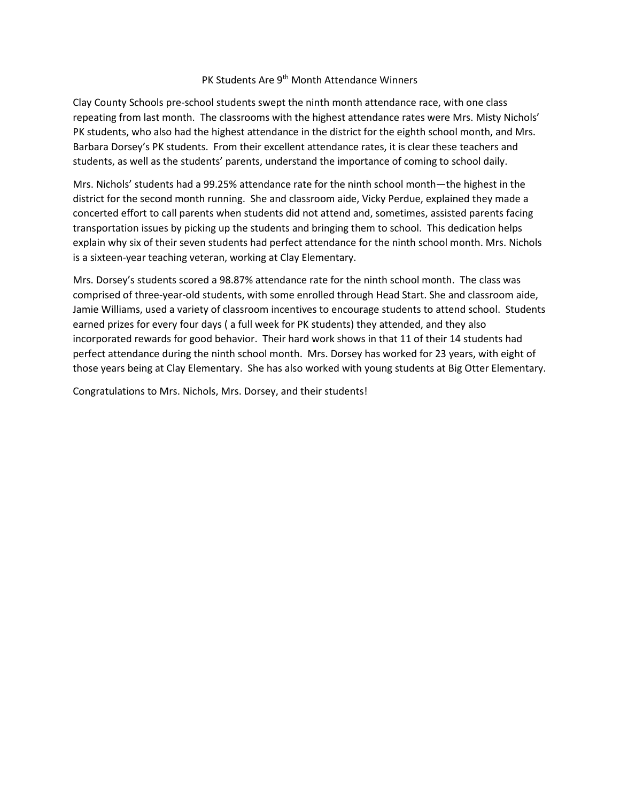## PK Students Are 9<sup>th</sup> Month Attendance Winners

Clay County Schools pre-school students swept the ninth month attendance race, with one class repeating from last month. The classrooms with the highest attendance rates were Mrs. Misty Nichols' PK students, who also had the highest attendance in the district for the eighth school month, and Mrs. Barbara Dorsey's PK students. From their excellent attendance rates, it is clear these teachers and students, as well as the students' parents, understand the importance of coming to school daily.

Mrs. Nichols' students had a 99.25% attendance rate for the ninth school month—the highest in the district for the second month running. She and classroom aide, Vicky Perdue, explained they made a concerted effort to call parents when students did not attend and, sometimes, assisted parents facing transportation issues by picking up the students and bringing them to school. This dedication helps explain why six of their seven students had perfect attendance for the ninth school month. Mrs. Nichols is a sixteen-year teaching veteran, working at Clay Elementary.

Mrs. Dorsey's students scored a 98.87% attendance rate for the ninth school month. The class was comprised of three-year-old students, with some enrolled through Head Start. She and classroom aide, Jamie Williams, used a variety of classroom incentives to encourage students to attend school. Students earned prizes for every four days ( a full week for PK students) they attended, and they also incorporated rewards for good behavior. Their hard work shows in that 11 of their 14 students had perfect attendance during the ninth school month. Mrs. Dorsey has worked for 23 years, with eight of those years being at Clay Elementary. She has also worked with young students at Big Otter Elementary.

Congratulations to Mrs. Nichols, Mrs. Dorsey, and their students!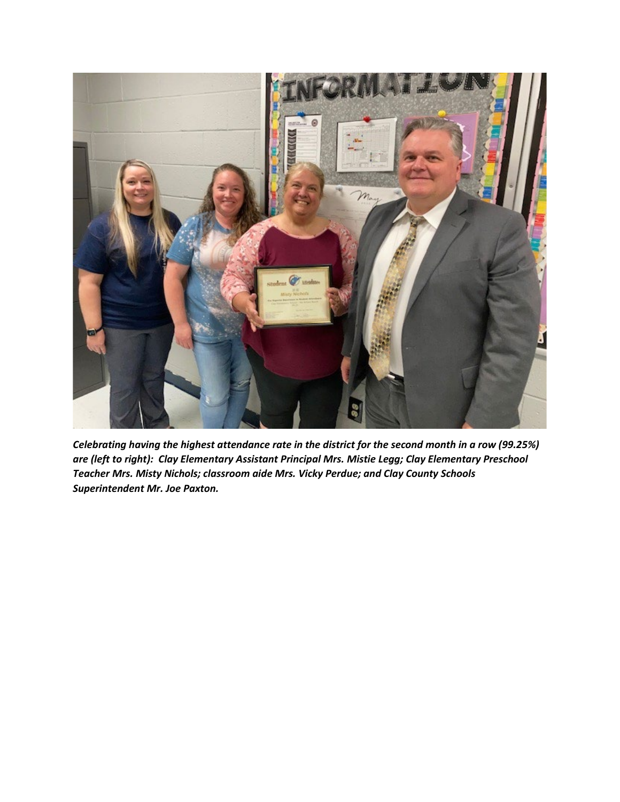

*Celebrating having the highest attendance rate in the district for the second month in a row (99.25%) are (left to right): Clay Elementary Assistant Principal Mrs. Mistie Legg; Clay Elementary Preschool Teacher Mrs. Misty Nichols; classroom aide Mrs. Vicky Perdue; and Clay County Schools Superintendent Mr. Joe Paxton.*